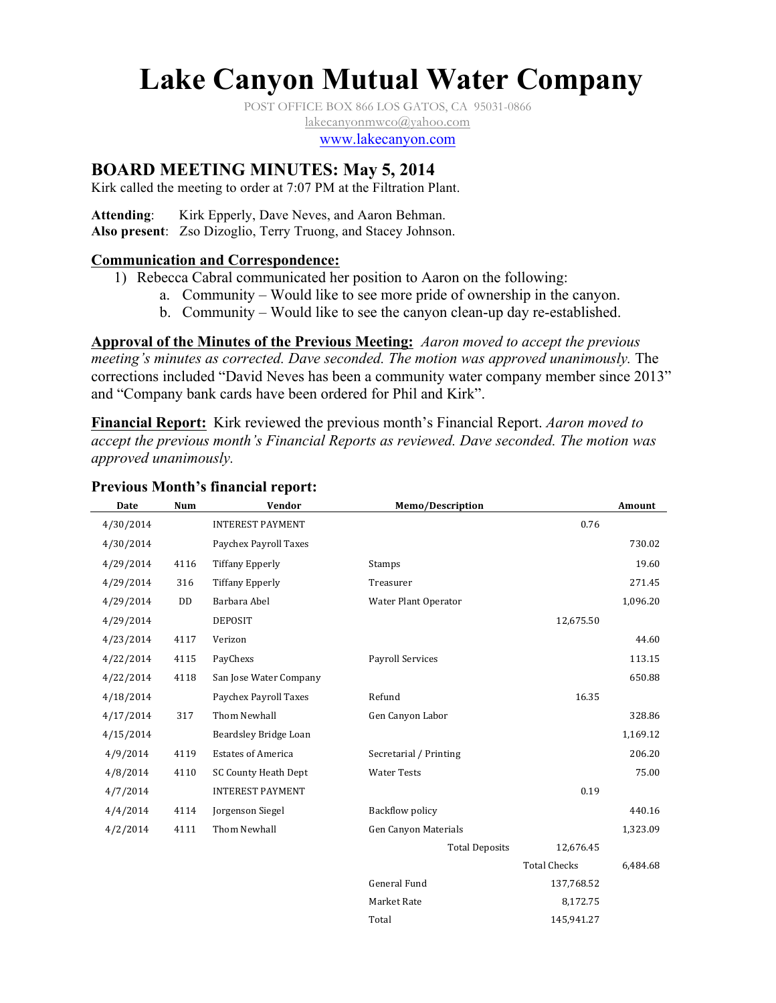# **Lake Canyon Mutual Water Company**

POST OFFICE BOX 866 LOS GATOS, CA 95031-0866

lakecanyonmwco@yahoo.com

www.lakecanyon.com

## **BOARD MEETING MINUTES: May 5, 2014**

Kirk called the meeting to order at 7:07 PM at the Filtration Plant.

Attending: Kirk Epperly, Dave Neves, and Aaron Behman.

**Also present**: Zso Dizoglio, Terry Truong, and Stacey Johnson.

#### **Communication and Correspondence:**

- 1) Rebecca Cabral communicated her position to Aaron on the following:
	- a. Community Would like to see more pride of ownership in the canyon.
	- b. Community Would like to see the canyon clean-up day re-established.

**Approval of the Minutes of the Previous Meeting:** *Aaron moved to accept the previous meeting's minutes as corrected. Dave seconded. The motion was approved unanimously.* The corrections included "David Neves has been a community water company member since 2013" and "Company bank cards have been ordered for Phil and Kirk".

**Financial Report:** Kirk reviewed the previous month's Financial Report. *Aaron moved to accept the previous month's Financial Reports as reviewed. Dave seconded. The motion was approved unanimously.*

#### **Previous Month's financial report:**

| <b>Date</b> | <b>Num</b> | Vendor                    | <b>Memo/Description</b> |                     | Amount   |
|-------------|------------|---------------------------|-------------------------|---------------------|----------|
| 4/30/2014   |            | <b>INTEREST PAYMENT</b>   |                         | 0.76                |          |
| 4/30/2014   |            | Paychex Payroll Taxes     |                         |                     | 730.02   |
| 4/29/2014   | 4116       | <b>Tiffany Epperly</b>    | Stamps                  |                     | 19.60    |
| 4/29/2014   | 316        | <b>Tiffany Epperly</b>    | Treasurer               |                     | 271.45   |
| 4/29/2014   | DD         | Barbara Abel              | Water Plant Operator    |                     | 1,096.20 |
| 4/29/2014   |            | <b>DEPOSIT</b>            |                         | 12,675.50           |          |
| 4/23/2014   | 4117       | Verizon                   |                         |                     | 44.60    |
| 4/22/2014   | 4115       | PayChexs                  | <b>Payroll Services</b> |                     | 113.15   |
| 4/22/2014   | 4118       | San Jose Water Company    |                         |                     | 650.88   |
| 4/18/2014   |            | Paychex Payroll Taxes     | Refund                  | 16.35               |          |
| 4/17/2014   | 317        | Thom Newhall              | Gen Canyon Labor        |                     | 328.86   |
| 4/15/2014   |            | Beardsley Bridge Loan     |                         |                     | 1,169.12 |
| 4/9/2014    | 4119       | <b>Estates of America</b> | Secretarial / Printing  |                     | 206.20   |
| 4/8/2014    | 4110       | SC County Heath Dept      | <b>Water Tests</b>      |                     | 75.00    |
| 4/7/2014    |            | <b>INTEREST PAYMENT</b>   |                         | 0.19                |          |
| 4/4/2014    | 4114       | Jorgenson Siegel          | <b>Backflow policy</b>  |                     | 440.16   |
| 4/2/2014    | 4111       | Thom Newhall              | Gen Canyon Materials    |                     | 1,323.09 |
|             |            |                           | <b>Total Deposits</b>   | 12,676.45           |          |
|             |            |                           |                         | <b>Total Checks</b> | 6,484.68 |
|             |            |                           | <b>General Fund</b>     | 137,768.52          |          |
|             |            |                           | Market Rate             | 8,172.75            |          |
|             |            |                           | Total                   | 145,941.27          |          |